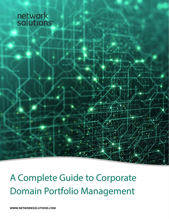# network<br>solutions

## A Complete Guide to Corporate Domain Portfolio Management

**[WWW.NETWORKSOLUTIONS.COM](https://www.networksolutions.com)**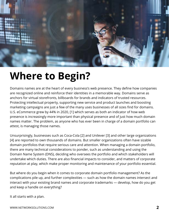

### **Where to Begin?**

Domains names are at the heart of every business's web presence. They define how companies are recognized online and reinforce their identities in a memorable way. Domains serve as anchors for virtual storefronts, billboards for brands and indicators of trusted resources. Protecting intellectual property, supporting new service and product launches and boosting marketing campaigns are just a few of the many uses businesses of all sizes find for domains. U.S. eCommerce grew by 44% in 2020, [1] which serves as both an indicator of how web presence is increasingly more important than physical presence and of just how much domain names matter. The problem, as anyone who has ever been in charge of a domain portfolio can attest, is managing those names.

Unsurprisingly, businesses such as Coca-Cola [2] and Unilever [3] and other large organizations [4] are reported to own thousands of domains. But smaller organizations often have sizable domain portfolios that require serious care and attention. When managing a domain portfolio, there are many technical considerations to ponder, such as understanding and using the Domain Name System (DNS), deciding who oversees the portfolio and which stakeholders will undertake which duties. There are also financial impacts to consider, and matters of corporate reputation at play, which make proper monitoring and maintenance of your portfolio essential.

But where do you begin when it comes to corporate domain portfolio management? As the complications pile up, and further complexities — such as how the domain names intersect and interact with your existing brand names and corporate trademarks — develop, how do you get and keep a handle on everything?

It all starts with a plan.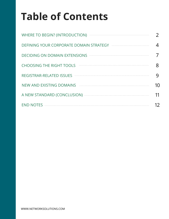### **Table of Contents**

| WHERE TO BEGIN? (INTRODUCTION)<br>$\begin{minipage}{0.5\textwidth} \begin{tabular}{ c c c } \hline \multicolumn{1}{ c }{p} & \multicolumn{1}{ c }{p} & \multicolumn{1}{ c }{p} & \multicolumn{1}{ c }{p} & \multicolumn{1}{ c }{p} & \multicolumn{1}{ c }{p} & \multicolumn{1}{ c }{p} & \multicolumn{1}{ c }{p} & \multicolumn{1}{ c }{p} & \multicolumn{1}{ c }{p} & \multicolumn{1}{ c }{p} & \multicolumn{1}{ c }{p} & \multicolumn{1}{ c }{p} & \multicolumn{1}{$ |    |
|------------------------------------------------------------------------------------------------------------------------------------------------------------------------------------------------------------------------------------------------------------------------------------------------------------------------------------------------------------------------------------------------------------------------------------------------------------------------|----|
| DEFINING YOUR CORPORATE DOMAIN STRATEGY AND THE MANUSCRIPTION OF THE DOMAIN STRATEGY                                                                                                                                                                                                                                                                                                                                                                                   |    |
| DECIDING ON DOMAIN EXTENSIONS AND ANNOUNCEMENT ON DOMAIN EXTENSIONS                                                                                                                                                                                                                                                                                                                                                                                                    |    |
| <b>CHOOSING THE RIGHT TOOLS</b>                                                                                                                                                                                                                                                                                                                                                                                                                                        |    |
| REGISTRAR-RELATED ISSUES municipality                                                                                                                                                                                                                                                                                                                                                                                                                                  |    |
| <b>NEW AND EXISTING DOMAINS</b>                                                                                                                                                                                                                                                                                                                                                                                                                                        | 10 |
|                                                                                                                                                                                                                                                                                                                                                                                                                                                                        |    |
|                                                                                                                                                                                                                                                                                                                                                                                                                                                                        |    |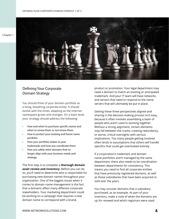

#### Defining Your Corporate Domain Strategy

You should think of your domain portfolio as a living, breathing corporate entity. It should evolve with the times, adapting as the Internet namespace grows and changes. On a basic level, your strategy should address the following:

- How and when to purchase specific names and when to renew them or not renew them.
- How to protect your existing and future name portfolio.
- How your portfolio relates to your trademarks and how you coordinate them.
- How you safely retire domains that no longer align with your business needs and strategy.

The first step is to complete a **thorough domain asset review and inventory**. Before you can do so, you'll need to determine who is responsible for purchasing new domain names throughout your organization. One of the biggest issues when it comes to domain name management is the fact that a domains affect many different corporate stakeholders. Your marketing department could be working on a campaign that requires a new domain name to correspond with a brand,

product or promotion. Your legal department may need a domain to match an existing or anticipated trademark. And your IT team will have networks and servers that need to respond to the name servers that will ultimately be put in place.

Getting these three perspectives aligned and sharing in the decision-making process isn't easy, because it often involves assembling a team of people who aren't used to working together. Without a strong alignment, certain elements may fall between the cracks, creating redundancy, or worse, critical oversights with serious implications. Too many people getting involved often lends to assumptions that others will handle specifics that could get overlooked entirely.

If a corporation's trademark and domain name portfolios aren't managed by the same department, there also needs to be coordination between departments for consistency. This means you need to find all corporate entities that have previously registered domains, as well as those subsidiaries that have been acquired or sold over the years.

You may uncover domains that a subsidiary purchased, as an example. As part of your inventory, make a note of when the domains are up for renewal and which registrars were used.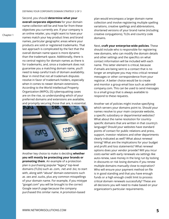DEFINING YOUR CORPORATE DOMAIN STRATEGY 2 OF 3

Second, you should **determine what your overall corporate objectives** for your domain name collection will be and how far from these objectives you currently are. If your company is an online retailer, you might want to have your names match your key product lines and brand names, particular geographic areas where your products are sold or registered trademarks. That last approach is complicated by the fact that the overall domain name space is more dynamic than the trademark space. Additionally, there is no central registry for domain names as there is for trademarks, and, since a trademark does not guarantee you a matching domain name, you'll need to keep careful track of domain availability. Bear in mind that not all trademark disputes resolve in favor of trademark holders, especially when it comes to newer domain extensions. According to the World Intellectual Property Organization (WIPO), [5] cybersquatting cases are on the rise, so understanding which of your preferred domains and extensions are available, and promptly securing those that are, is essential.



Another key choice to make is deciding **whether you will mostly be protecting your brands or promoting them**. An example of a protection plan is purchasing popular "legacy" top-level domains (TLDs) such as .com, .net and .biz, to start with, along with "abuse" domain extensions such as .sex and .sucks, plus any common misspellings of your domain name. For example, if you mistype "googel.com" you will be brought to the correct Google search page because the company purchased this similar name. A promotion-based

plan would encompass a larger domain name collection and involve registering multiple spelling variations, creative spellings and abbreviations, shortened versions of your brand name (including creative conjugations), TLDs and country code domains.

Next, **craft your enterprise-wide policies**. These should include who is responsible for registering new domains, who can modify the domain details and other settings and the specifics on what contact information will be included with each name. This latter element is critical, because if emails are being sent to a contact that is no longer an employee you may miss critical renewal messages or other correspondence from your registrar. A better choice would be to create and monitor a group email box such as admin@ company.com. This can be used to send messages to a small group that is always available to respond to these requests.

Another set of policies might involve specifying which servers your domains point to. Should your names resolve to your main corporate website, a specific subsidiary or departmental websites? What about the name resolution for countryspecific domains that are written in that country's language? Should your websites have standard points of contact for public relations and press, support, investor relations and other departments clearly indicated as well? What about renewal timing? What are the implications for your budget and profit and loss statements? What renewal options does your vendor provide? Will you incur costs earlier with early renewals via settings like auto-renew, save money in the long run by locking in discounts or risk losing domains if you renew multiple domains manually close to expiration? Who will ensure your payment method on file is in good standing and that you have enough funds or a high enough credit limit to process critical domain renewals successfully? These are all decisions you will need to make based on your organization's particular requirements.

Chapter 1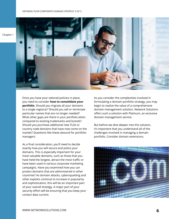

Once you have your tailored policies in place, you need to consider **how to consolidate your portfolio**. Should you migrate all your domains to a single registrar? Should you sell or terminate particular names that are no longer needed? What other gaps are there in your portfolio when compared to existing trademarks and brands? Should you purchase additional new TLDs or country code domains that have now come on the market? Questions like these abound for portfolio managers.

As a final consideration, you'll need to decide exactly how you will secure and police your domains. This is especially important for your most valuable domains, such as those that you have held the longest, attract the most traffic or have been used in various corporate marketing campaigns. Have you examined how you can protect domains that are administered in other countries? As domain attacks, cybersquatting and other exploits continue to increase in popularity and sophistication, this will be an important part of your overall strategy. A major part of your security effort will be ensuring that you keep your contact data current.

As you consider the complexities involved in formulating a domain portfolio strategy, you may begin to realize the value of a comprehensive domain management solution. Network Solutions offers such a solution with Platinum, an exclusive domain management service.

But before we dive deeper into this solution, it's important that you understand all of the challenges involved in managing a domain portfolio. Consider domain extensions.

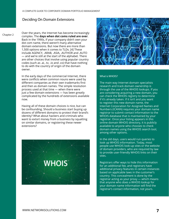#### Deciding On Domain Extensions

Chapter 2

Over the years, the Internet has become increasingly complex. The **days when dot coms ruled are over**. Back in the 1990s, if your company didn't own your dot com name, there weren't many alternative domain extensions. But now there are more than 1,500 options when it comes to TLDs. [4] These include AGENCY, .ARAB, .ASIA, .AUTHOR and .AUTO — and we're still at the start of the alphabet. There are other choices that involve using popular country codes (such as .ai, .tv, .io and .co) that have nothing to do with the country of origin of the domain owner.

In the early days of the commercial Internet, there were conflicts when common nouns were used by different companies as their own trademarks first and then as domain names. The simple resolution process used at that time — when there were just a few domain extensions — has been greatly complicated by the hundreds of extensions available now.

Having all of these domain choices is nice, but can be confounding. Should a business start buying up dozens of different domains to protect their brand's identity? What about hackers and criminals who want to extort money from a business by squatting on similar domains, or registering these newer extensions?





#### What is WHOIS?

The main way Internet domain specialists research and track domain ownership is through the use of the WHOIS lookups. If you are considering acquiring a new domain, you can check the WHOIS registry to determine if it's already taken. If it isn't and you want to register this new domain name, the Internet Corporation for Assigned Names and Numbers (ICANN) requires your domain name registrar to submit contact information to the WHOIS database that is maintained by your registrar. Once your listing appears in this online domain WHOIS directory, it is publicly available to anyone who chooses to check domain names using the WHOIS search tool, among other options.

In the old days, users would run queries to look up WHOIS information. Today, most people use WHOIS look-up sites or the website of domain providers, who are required by law to provide user-friendly WHOIS links on their sites.

Registrars offer ways to hide this information for an additional fee, and registrars have additional privacy features in certain instances based on applicable laws in the customer's country. This concealment is done by the registrar acting as your proxy — which means that anyone who does a WHOIS lookup for your domain name information will find the registrar's contact information, not yours.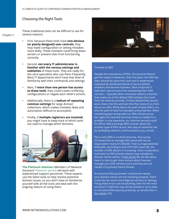#### Choosing the Right Tools

Chapter 3

These traditional tools can be difficult to use for several reasons:

- First, because these tools have **non-obvious (or poorly designed) user controls**, they may make configuration or setting mistakes more likely. These mistakes could bring down servers or prevent sites from functioning correctly.
- Second, **not every IT administrator is familiar with the various settings and subtleties** of these tools. They are really for the ultra-specialists who use them frequently. Most IT departments don't have that level of familiarity with their commands and settings.
- Next, if **more than one person has access to these tools**, they could create conflicting configurations or negate each other's actions.
- Additionally, there is a **tedium of repeating common settings** for large domain collections, which makes mistakes likely and automation difficult to accomplish.
- Finally, if **multiple registrars are involved**, you might have to keep track of which tools are used to manage which domains.



**[The Platinum Solution:](https://www.networksolutions.com/domains/domain-management)** Members of Network Solutions' [Platinum service](https://www.networksolutions.com/domains/domain-management) will work with experienced support personnel. These experts use the latest tools to help resolve potential domain issues, so you don't have to familiarize yourself with all the tools and deal with the ongoing tedium of using them.



#### The Role of DNS

Despite the importance of DNS, this protocol doesn't get the respect it deserves. Over the years, the DNS has been abused by spammers and had its weaknesses exploited by distributed denial of service (DDoS) attackers and domain hijackers. Most corporate IT staff don't spend much time maintaining their DNS services — typically when a business obtains a domain, they make use of the default DNS settings that come from the Internet provider. If these default DNS servers work, that is the first and last time that many of us think about our DNS. While that is the path of least effort, it is also the path of least functionality and protection. When something goes wrong with our DNS infrastructure, we might not have the technical chops to readily fix a problem: in the meantime, our Internet services could be offline. Mail Exchange (MX) records, which are another type of DNS record, also play an essential role by facilitating network communications (e.g., email).

This is why DNS is a critical resource. One survey [7] shows that an average DNS attack will cost an organization nearly \$1,000,000. That is a huge potential downside. According to one 2019 IDG report [8], the number of DNS attacks is increasing. How a corporation maintains its DNS directly impacts how valuable its domain names will be. In [this article](https://www.networksolutions.com/blog/data-privacy-and-security/how-to-evaluate-dns-security-providers/) [9], we talk about how it is time to get more serious about how you manage your DNS infrastructure and how you can harden it to prevent future threats.

An incorrect DNS parameter could be the reason your domain names are not resolving properly. There could also be some misconfigured services or settings. Fixing these errors can be daunting, even for the most technical IT staff who may not be trained or up to date on the latest DNS security protocols, as we describe in [this article](https://www.networksolutions.com/blog/data-privacy-and-security/how-to-evaluate-dns-security-providers/) [10].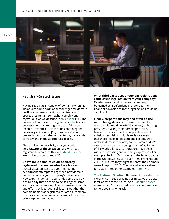Chapter 4



#### Registrar-Related Issues

Having registrars in control of domain ownership introduces some additional challenges for domain portfolio managers. First, domain transfer procedures remain somewhat complex and mysterious, as we describe in [this eBook \[](https://marketing.networksolutions.com/ip-block-selling-aftermarket-ebook/)11]. The process of finding and fixing errors in the transfer process can consume a great deal of time and technical expertise. This includes obtaining the necessary auth-codes [12] to move a domain from one registrar to another and entering these codes correctly and in the appropriate places.

There's also the possibility that you could be **unaware of those bad actors** who have registered domains with [squatted addresses](https://www.networksolutions.com/blog/data-privacy-and-security/protect-your-brand-from-domain-squatting-with-adultblock/) that are similar to your brands [13].

**Unavailable domains could be already registered to someone else**. Here is a very typical situation. Let's say your marketing department attempts to register a new domain name containing your company's trademark. However, the domain is currently being used by a third party that appears to be selling the same goods as your company. After extensive research and efforts by legal counsel, it turns out that the domain name was registered for official company use by someone in one of your own offices. This brings up our next point:

**What third party uses or domain registrations could cause legal action from your company?** Or what uses could cause your company to be named as a defendant in a lawsuit? The financial downside of these legal actions could be significant.

**Finally, corporations may and often do use multiple registrars** (and therefore need to connect with multiple WHOIS sources) or hosting providers, making their domain portfolios harder to track across the corporation and its subsidiaries. Using multiple registrars means that there needs to be someone keeping track of these domain renewals, so the domains don't expire without anyone being aware of it. Some of the worlds' largest corporations have dealt with embarrassing and untimely expirations. For example, Regions Bank is one of the largest banks in the United States, with over 1,700 branches and 2,400 ATMs. Yet they forgot to renew their domain name in April of 2013. Their websites were down for a week. (See other examples [here](https://whoapi.com/blog/5-all-time-domain-expirations-in-internets-history/) [14].)

**[The Platinum Solution:](https://www.networksolutions.com/domains/domain-management)** Because of our extensive experience in the domains business, we are quite familiar with these issues. As a [Platinum service](https://www.networksolutions.com/domains/domain-management) member, you'll have a dedicated account manager to help you stay on track.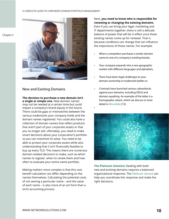Chapter 5



#### New and Existing Domains

**The decision to purchase a new domain isn't a single or simple one.** New domain names may not be needed at a certain time but could impact a company's brand equity in the future. There could be gaps or mismatches between the various trademarks your company holds and the domain names registered. You could also have a collection of domain names that reflect products that aren't part of your corporate assets or that you no longer sell. Ultimately, you need to make smart decisions about your corporation's portfolio so you can maximize its value. You need to be able to protect your corporate assets while also understanding that it isn't financially feasible to buy up every TLD. This means there are numerous domain-related decisions to make, such as which names to register, when to renew them and how often to evaluate your entire name portfolio.

Making matters more complex is that this costbenefit calculation can differ depending on the names themselves. Calculating the potential costs of not owning a particular name – and the value of each name – is also more of an art form than a strict accounting process.

Next, **you need to know who is responsible for renewing or changing the existing domains**. Even if you can bring your legal, marketing and IT departments together, there is still a delicate balance of power that will be in effect once these existing names come up for renewal. That is because conditions can change that can influence the importance of those names. For example:

- When a competitor purchases a similar domain name to one of a company's existing brands,
- Your company expands into a new geographic market with different languages and alphabets,
- There have been legal challenges to your domain ownership or trademark battles or
- Criminals have launched various cyberattacks against your domains, including DDoS and domain squatting. An example of the latter is a homographic attack, which we discuss in more detail in [this article](https://www.networksolutions.com/blog/data-privacy-and-security/how-to-recognize-and-prevent-homograph-attacks/) [15].

•



**[The Platinum Solution:](https://www.networksolutions.com/domains/domain-management)** Dealing with both new and existing domains requires a balanced organizational response. The [Platinum service](https://www.networksolutions.com/domains/domain-management) can help you coordinate this response and make the right decisions.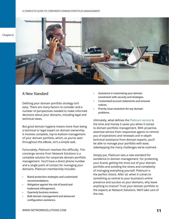Chapter 6



#### A New Standard

Defining your domain portfolio strategy isn't easy. There are many factors to consider and a number of perspectives needed to make informed decisions about your domains, including legal and technical views.

But good domain hygiene means more than being a technical or legal expert on domain ownership. It involves complete, top-to-bottom management of your domain portfolio, which, as you've seen throughout this eBook, isn't a simple task.

Fortunately, Platinum resolves this difficulty. This concierge service from Network Solutions is a complete solution for corporate domain portfolio management. You'll have a direct phone number and a single point of contact for managing your domains. Platinum membership includes:

- Brand protection strategies and customized recommendations.
- Mitigation against the risk of brand and trademark infringement.
- Quarterly business reviews.
- Bulk domain management and advanced configuration assistance.
- Assistance in maximizing your domain investment with security and strategies.
- Customized account statements and renewal notices.
- Priority issue resolution for any domain problems.

Ultimately, what defines the [Platinum service](https://www.networksolutions.com/domains/domain-management) is the time and money it saves you when it comes to domain portfolio management. With proactive, attentive service from responsive agents to remind you of expirations and renewals and in-depth technical assistance from domain experts, you'll be able to manage your portfolio with ease, sidestepping the many challenges we've outlined.

Simply put, Platinum sets a new standard for excellence in domain management. For protecting your brand, getting the most out of your domain portfolio and avoiding the stress and complexity of managing everything yourself, Platinum is the perfect choice. After all, when it comes to something as central to your business's online presence and success as your domains, why leave anything to chance? Trust your domain portfolio to the experts at Network Solutions. We'll take care of the rest.